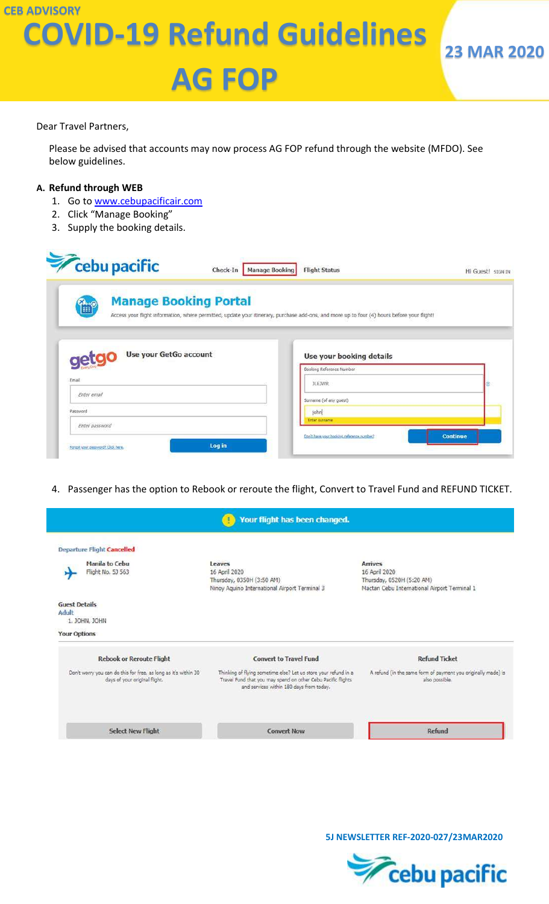### **CEB ADVISORY COVID-19 Refund Guidelines**

# **AG FOP**

Dear Travel Partners,

Please be advised that accounts may now process AG FOP refund through the website (MFDO). See below guidelines.

#### **A. Refund through WEB**

- 1. Go to [www.cebupacificair.com](http://www.cebupacificair.com/)
- 2. Click "Manage Booking"
- 3. Supply the booking details.

| cebu pacific                          | Check-In<br><b>Manage Booking</b><br><b>Flight Status</b>                                                                                   | Hi Guest! SIGN IN |
|---------------------------------------|---------------------------------------------------------------------------------------------------------------------------------------------|-------------------|
| <b>Manage Booking Portal</b><br>1. r  | Access your flight information, where permitted, update your itinerary, purchase add-ons, and more up to four (4) hours before your flight! |                   |
|                                       |                                                                                                                                             |                   |
|                                       |                                                                                                                                             |                   |
| Use your GetGo account<br><b>Ceta</b> | Use your booking details                                                                                                                    |                   |
| Email                                 | Booking Reference Number                                                                                                                    |                   |
|                                       | <b>JLEJWR</b>                                                                                                                               |                   |
| Enter email                           | Surname (of any quest)                                                                                                                      |                   |
| Password                              | johni                                                                                                                                       |                   |
| Enter password                        | Enter surriame                                                                                                                              |                   |

4. Passenger has the option to Rebook or reroute the flight, Convert to Travel Fund and REFUND TICKET.



 **5J NEWSLETTER REF-2020-027/23MAR2020**

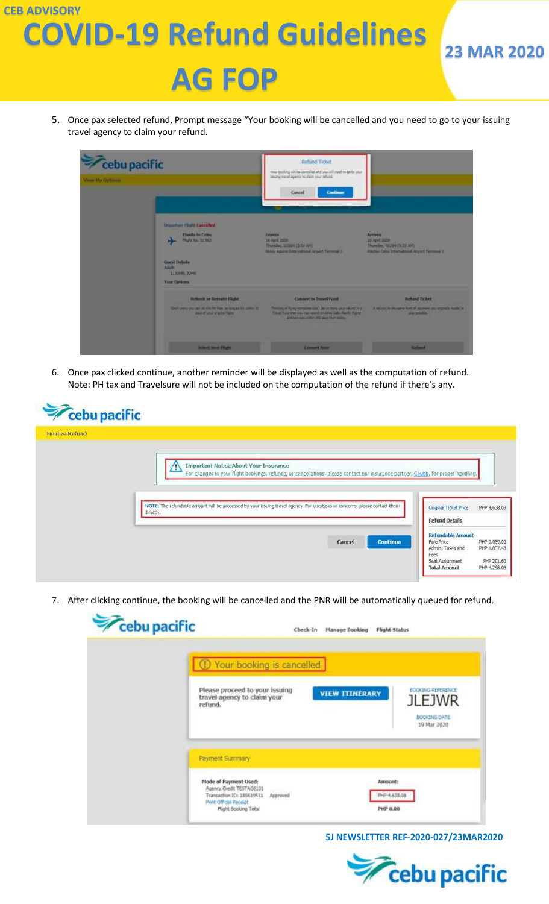### **CEB ADVISORY COVID-19 Refund Guidelines**



5. Once pax selected refund, Prompt message "Your booking will be cancelled and you need to go to your issuing travel agency to claim your refund.

| cebu pacific<br>View Hy Optimia |                                                                                                                                                           | Behind Ticket<br>mar being will be carcelled and you will meet to go be year.<br>landing travel appens to class your refund.<br>Cancel<br>Continue<br>mar.                                     |                                                                                                       |
|---------------------------------|-----------------------------------------------------------------------------------------------------------------------------------------------------------|------------------------------------------------------------------------------------------------------------------------------------------------------------------------------------------------|-------------------------------------------------------------------------------------------------------|
|                                 | Departure Claps Cancelled<br>Hanifa ha Celse<br><b>Hans Inc. 12 1931</b><br>Gorst Details<br><b>Adult</b><br><b>L. 304N. 304N.</b><br><b>Your Options</b> | <b>Learne</b><br>13.6 April 2020<br>Thursday, 0300H [3:52 APD]<br>News Alguna Enterprisonal Angele Terminal 3                                                                                  | <b>Attives</b><br>15 April 2020<br>Thursday, 121204 (3122-AM)<br>Historic Columbus August Termine L.  |
|                                 | <b>Rebeck or Recount Flight</b><br>Gent services and as the fire has as long as it's some 10<br>more of second signal highs.                              | <b>Convert to Trevel Ford</b><br>Thinking of them non-sevent of Lat as more your related in a<br>from heat the secret spent or one Cab. Bank figure<br>and reminant letter 100 days from home. | <b>Behard Ticket</b><br>A relate in the same form of piceware one originals market in<br>and modules. |
|                                 | <b>Belieft New Filght</b>                                                                                                                                 | <b>Consent Hotel</b>                                                                                                                                                                           | <b>Railway</b>                                                                                        |

6. Once pax clicked continue, another reminder will be displayed as well as the computation of refund. Note: PH tax and Travelsure will not be included on the computation of the refund if there's any.

| <b>Cebu pacific</b><br><b>Finalize Refund</b> |                                                                                                                                                                            |                                                                |
|-----------------------------------------------|----------------------------------------------------------------------------------------------------------------------------------------------------------------------------|----------------------------------------------------------------|
|                                               | Important Notice About Your Insurance<br>For changes in your flight bookings, refunds, or cancellations, please contact our insurance partner, Chubb, for proper handling. |                                                                |
|                                               |                                                                                                                                                                            |                                                                |
|                                               | NOTE: The refundable amount will be processed by your issuing travel agency. For questions or concerns, please contact them<br>directly.                                   | PHP 4,638.08<br>Original Ticket Price<br><b>Refund Details</b> |

7. After clicking continue, the booking will be cancelled and the PNR will be automatically queued for refund.

|                                                                                                                                             | 1 Your booking is cancelled         |                                                                          |  |
|---------------------------------------------------------------------------------------------------------------------------------------------|-------------------------------------|--------------------------------------------------------------------------|--|
| Please proceed to your issuing<br>travel agency to claim your<br>refund.                                                                    | <b>VIEW ITINERARY</b>               | <b>BOOKING REFERENCE</b><br><b>JLEJWR</b><br>BOOKING DATE<br>19 Mar 2020 |  |
| Payment Summary                                                                                                                             |                                     |                                                                          |  |
| Mode of Payment Used:<br>Agency Credit TESTAG0101<br>Transaction ID: 185619511<br>Approved<br>Print Official Receipt<br>Fight Booking Total | Amount:<br>PHP 4,638.08<br>PHP 0.00 |                                                                          |  |

 **5J NEWSLETTER REF-2020-027/23MAR2020**